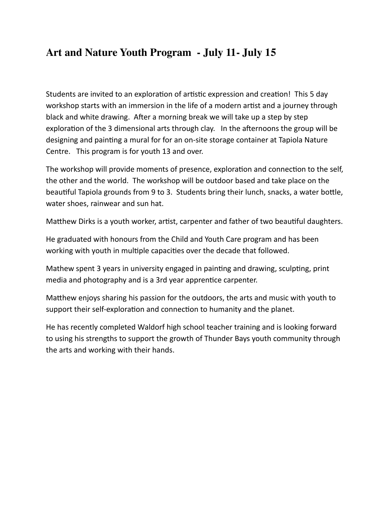## **Art and Nature Youth Program - July 11- July 15**

Students are invited to an exploration of artistic expression and creation! This 5 day workshop starts with an immersion in the life of a modern artist and a journey through black and white drawing. After a morning break we will take up a step by step exploration of the 3 dimensional arts through clay. In the afternoons the group will be designing and painting a mural for for an on-site storage container at Tapiola Nature Centre. This program is for youth 13 and over.

The workshop will provide moments of presence, exploration and connection to the self, the other and the world. The workshop will be outdoor based and take place on the beautiful Tapiola grounds from 9 to 3. Students bring their lunch, snacks, a water bottle, water shoes, rainwear and sun hat.

Matthew Dirks is a youth worker, artist, carpenter and father of two beautiful daughters.

He graduated with honours from the Child and Youth Care program and has been working with youth in multiple capacities over the decade that followed.

Mathew spent 3 years in university engaged in painting and drawing, sculpting, print media and photography and is a 3rd year apprentice carpenter.

Matthew enjoys sharing his passion for the outdoors, the arts and music with youth to support their self-exploration and connection to humanity and the planet.

He has recently completed Waldorf high school teacher training and is looking forward to using his strengths to support the growth of Thunder Bays youth community through the arts and working with their hands.